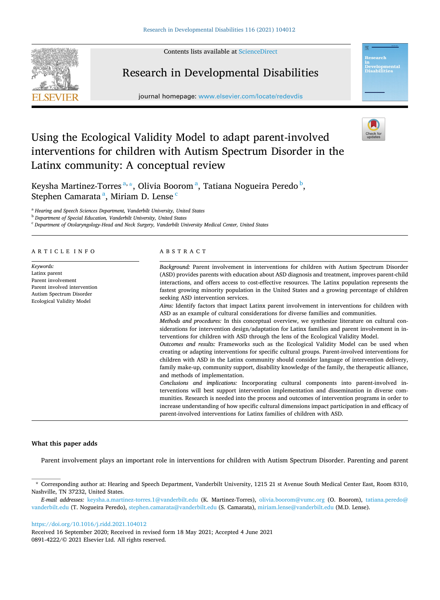Contents lists available at [ScienceDirect](www.sciencedirect.com/science/journal/08914222)



# Research in Developmental Disabilities

journal homepage: [www.elsevier.com/locate/redevdis](https://www.elsevier.com/locate/redevdis) 



# Using the Ecological Validity Model to adapt parent-involved interventions for children with Autism Spectrum Disorder in the Latinx community: A conceptual review

Keysha Martinez-Torres<sup>a,\*</sup>, Olivia Boorom<sup>a</sup>, Tatiana Nogueira Peredo <sup>b</sup>, Stephen Camarata<sup>a</sup>, Miriam D. Lense<sup>c</sup>

<sup>a</sup> *Hearing and Speech Sciences Department, Vanderbilt University, United States* 

<sup>b</sup> *Department of Special Education, Vanderbilt University, United States* 

<sup>c</sup> *Department of Otolaryngology-Head and Neck Surgery, Vanderbilt University Medical Center, United States* 

# ARTICLE INFO

*Keywords:*  Latinx parent Parent involvement Parent involved intervention Autism Spectrum Disorder Ecological Validity Model

# ABSTRACT

*Background:* Parent involvement in interventions for children with Autism Spectrum Disorder (ASD) provides parents with education about ASD diagnosis and treatment, improves parent-child interactions, and offers access to cost-effective resources. The Latinx population represents the fastest growing minority population in the United States and a growing percentage of children seeking ASD intervention services. *Aims:* Identify factors that impact Latinx parent involvement in interventions for children with ASD as an example of cultural considerations for diverse families and communities. *Methods and procedures:* In this conceptual overview, we synthesize literature on cultural considerations for intervention design/adaptation for Latinx families and parent involvement in interventions for children with ASD through the lens of the Ecological Validity Model. *Outcomes and results:* Frameworks such as the Ecological Validity Model can be used when creating or adapting interventions for specific cultural groups. Parent-involved interventions for children with ASD in the Latinx community should consider language of intervention delivery, family make-up, community support, disability knowledge of the family, the therapeutic alliance, and methods of implementation. *Conclusions and implications:* Incorporating cultural components into parent-involved interventions will best support intervention implementation and dissemination in diverse communities. Research is needed into the process and outcomes of intervention programs in order to increase understanding of how specific cultural dimensions impact participation in and efficacy of parent-involved interventions for Latinx families of children with ASD.

#### **What this paper adds**

Parent involvement plays an important role in interventions for children with Autism Spectrum Disorder. Parenting and parent

<https://doi.org/10.1016/j.ridd.2021.104012>

0891-4222/© 2021 Elsevier Ltd. All rights reserved. Received 16 September 2020; Received in revised form 18 May 2021; Accepted 4 June 2021

<sup>\*</sup> Corresponding author at: Hearing and Speech Department, Vanderbilt University, 1215 21 st Avenue South Medical Center East, Room 8310, Nashville, TN 37232, United States.

*E-mail addresses:* [keysha.a.martinez-torres.1@vanderbilt.edu](mailto:keysha.a.martinez-torres.1@vanderbilt.edu) (K. Martinez-Torres), [olivia.boorom@vumc.org](mailto:olivia.boorom@vumc.org) (O. Boorom), [tatiana.peredo@](mailto:tatiana.peredo@vanderbilt.edu) [vanderbilt.edu](mailto:tatiana.peredo@vanderbilt.edu) (T. Nogueira Peredo), [stephen.camarata@vanderbilt.edu](mailto:stephen.camarata@vanderbilt.edu) (S. Camarata), [miriam.lense@vanderbilt.edu](mailto:miriam.lense@vanderbilt.edu) (M.D. Lense).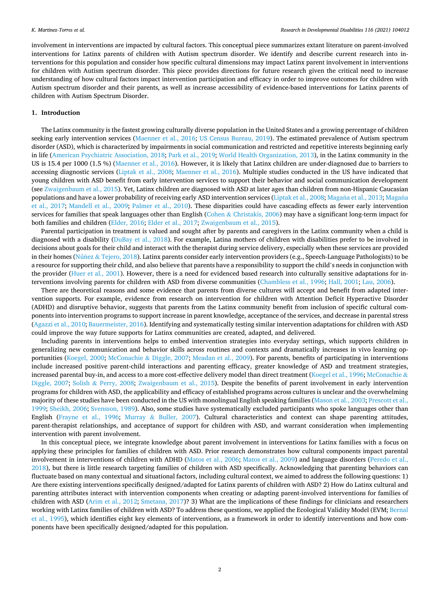involvement in interventions are impacted by cultural factors. This conceptual piece summarizes extant literature on parent-involved interventions for Latinx parents of children with Autism spectrum disorder. We identify and describe current research into interventions for this population and consider how specific cultural dimensions may impact Latinx parent involvement in interventions for children with Autism spectrum disorder. This piece provides directions for future research given the critical need to increase understanding of how cultural factors impact intervention participation and efficacy in order to improve outcomes for children with Autism spectrum disorder and their parents, as well as increase accessibility of evidence-based interventions for Latinx parents of children with Autism Spectrum Disorder.

# **1. Introduction**

The Latinx community is the fastest growing culturally diverse population in the United States and a growing percentage of children seeking early intervention services ([Maenner et al., 2016;](#page-9-0) [US Census Bureau, 2019](#page-10-0)). The estimated prevalence of Autism spectrum disorder (ASD), which is characterized by impairments in social communication and restricted and repetitive interests beginning early in life ([American Psychiatric Association, 2018](#page-8-0); [Park et al., 2019;](#page-9-0) [World Health Organization, 2013\)](#page-10-0), in the Latinx community in the US is 15.4 per 1000 (1.5 %) ([Maenner et al., 2016](#page-9-0)). However, it is likely that Latinx children are under-diagnosed due to barriers to accessing diagnostic services ([Liptak et al., 2008;](#page-9-0) [Maenner et al., 2016\)](#page-9-0). Multiple studies conducted in the US have indicated that young children with ASD benefit from early intervention services to support their behavior and social communication development (see [Zwaigenbaum et al., 2015\)](#page-11-0). Yet, Latinx children are diagnosed with ASD at later ages than children from non-Hispanic Caucasian populations and have a lower probability of receiving early ASD intervention services ([Liptak et al., 2008](#page-9-0); Magaña [et al., 2013](#page-9-0); Magaña [et al., 2017](#page-9-0); [Mandell et al., 2009;](#page-9-0) [Palmer et al., 2010\)](#page-9-0). These disparities could have cascading effects as fewer early intervention services for families that speak languages other than English (Cohen & [Christakis, 2006](#page-8-0)) may have a significant long-term impact for both families and children [\(Elder, 2016; Elder et al., 2017](#page-8-0); [Zwaigenbaum et al., 2015](#page-11-0)).

Parental participation in treatment is valued and sought after by parents and caregivers in the Latinx community when a child is diagnosed with a disability ([DuBay et al., 2018](#page-8-0)). For example, Latina mothers of children with disabilities prefer to be involved in decisions about goals for their child and interact with the therapist during service delivery, especially when these services are provided in their homes (Núñez & [Tejero, 2018\)](#page-9-0). Latinx parents consider early intervention providers (e.g., Speech-Language Pathologists) to be a resource for supporting their child, and also believe that parents have a responsibility to support the child's needs in conjunction with the provider [\(Huer et al., 2001\)](#page-9-0). However, there is a need for evidenced based research into culturally sensitive adaptations for interventions involving parents for children with ASD from diverse communities [\(Chambless et al., 1996](#page-8-0); [Hall, 2001;](#page-9-0) [Lau, 2006](#page-9-0)).

There are theoretical reasons and some evidence that parents from diverse cultures will accept and benefit from adapted intervention supports. For example, evidence from research on intervention for children with Attention Deficit Hyperactive Disorder (ADHD) and disruptive behavior, suggests that parents from the Latinx community benefit from inclusion of specific cultural components into intervention programs to support increase in parent knowledge, acceptance of the services, and decrease in parental stress [\(Agazzi et al., 2010; Bauermeister, 2016\)](#page-8-0). Identifying and systematically testing similar intervention adaptations for children with ASD could improve the way future supports for Latinx communities are created, adapted, and delivered.

Including parents in interventions helps to embed intervention strategies into everyday settings, which supports children in generalizing new communication and behavior skills across routines and contexts and dramatically increases in vivo learning opportunities ([Koegel, 2000](#page-9-0); McConachie & [Diggle, 2007; Meadan et al., 2009](#page-9-0)). For parents, benefits of participating in interventions include increased positive parent-child interactions and parenting efficacy, greater knowledge of ASD and treatment strategies, increased parental buy-in, and access to a more cost-effective delivery model than direct treatment ([Koegel et al., 1996](#page-9-0); [McConachie](#page-9-0) & [Diggle, 2007;](#page-9-0) Solish & [Perry, 2008;](#page-10-0) [Zwaigenbaum et al., 2015\)](#page-11-0). Despite the benefits of parent involvement in early intervention programs for children with ASD, the applicability and efficacy of established programs across cultures is unclear and the overwhelming majority of these studies have been conducted in the US with monolingual English speaking families ([Mason et al., 2003](#page-9-0); [Prescott et al.,](#page-10-0) [1999;](#page-10-0) [Sheikh, 2006;](#page-10-0) [Svensson, 1989](#page-10-0)). Also, some studies have systematically excluded participants who spoke languages other than English ([Frayne et al., 1996](#page-8-0); Murray & [Buller, 2007\)](#page-9-0). Cultural characteristics and context can shape parenting attitudes, parent-therapist relationships, and acceptance of support for children with ASD, and warrant consideration when implementing intervention with parent involvement.

In this conceptual piece, we integrate knowledge about parent involvement in interventions for Latinx families with a focus on applying these principles for families of children with ASD. Prior research demonstrates how cultural components impact parental involvement in interventions of children with ADHD [\(Matos et al., 2006;](#page-9-0) [Matos et al., 2009\)](#page-9-0) and language disorders [\(Peredo et al.,](#page-10-0) [2018\)](#page-10-0), but there is little research targeting families of children with ASD specifically. Acknowledging that parenting behaviors can fluctuate based on many contextual and situational factors, including cultural context, we aimed to address the following questions: 1) Are there existing interventions specifically designed/adapted for Latinx parents of children with ASD? 2) How do Latinx cultural and parenting attributes interact with intervention components when creating or adapting parent-involved interventions for families of children with ASD [\(Arim et al., 2012;](#page-8-0) [Smetana, 2017](#page-10-0))? 3) What are the implications of these findings for clinicians and researchers working with Latinx families of children with ASD? To address these questions, we applied the Ecological Validity Model (EVM; [Bernal](#page-8-0) [et al., 1995\)](#page-8-0), which identifies eight key elements of interventions, as a framework in order to identify interventions and how components have been specifically designed/adapted for this population.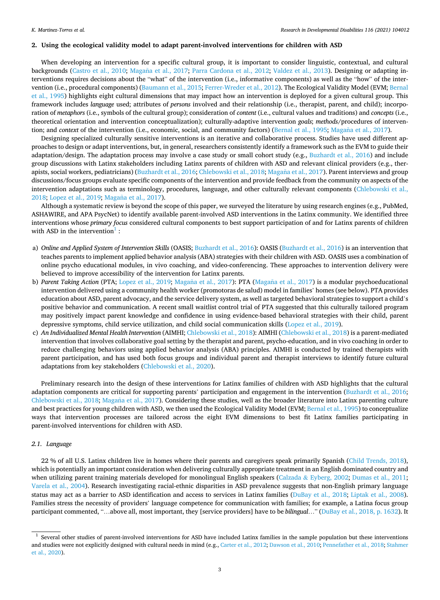#### **2. Using the ecological validity model to adapt parent-involved interventions for children with ASD**

When developing an intervention for a specific cultural group, it is important to consider linguistic, contextual, and cultural backgrounds ([Castro et al., 2010;](#page-8-0) Magaña [et al., 2017;](#page-9-0) [Parra Cardona et al., 2012](#page-10-0); [Valdez et al., 2013](#page-10-0)). Designing or adapting interventions requires decisions about the "what" of the intervention (i.e., informative components) as well as the "how" of the inter-vention (i.e., procedural components) [\(Baumann et al., 2015; Ferrer-Wreder et al., 2012\)](#page-8-0). The Ecological Validity Model (EVM; [Bernal](#page-8-0) [et al., 1995\)](#page-8-0) highlights eight cultural dimensions that may impact how an intervention is deployed for a given cultural group. This framework includes *language* used; attributes of *persons* involved and their relationship (i.e., therapist, parent, and child); incorporation of *metaphors* (i.e., symbols of the cultural group); consideration of *content* (i.e., cultural values and traditions) and *concepts* (i.e., theoretical orientation and intervention conceptualization); culturally-adaptive intervention *goals*; *methods*/procedures of intervention; and *context* of the intervention (i.e., economic, social, and community factors) ([Bernal et al., 1995;](#page-8-0) Magaña [et al., 2017](#page-9-0)).

Designing specialized culturally sensitive interventions is an iterative and collaborative process. Studies have used different approaches to design or adapt interventions, but, in general, researchers consistently identify a framework such as the EVM to guide their adaptation/design. The adaptation process may involve a case study or small cohort study (e.g., [Buzhardt et al., 2016](#page-8-0)) and include group discussions with Latinx stakeholders including Latinx parents of children with ASD and relevant clinical providers (e.g., ther-apists, social workers, pediatricians) ([Buzhardt et al., 2016](#page-8-0); [Chlebowski et al., 2018;](#page-8-0) Magaña [et al., 2017\)](#page-9-0). Parent interviews and group discussions/focus groups evaluate specific components of the intervention and provide feedback from the community on aspects of the intervention adaptations such as terminology, procedures, language, and other culturally relevant components [\(Chlebowski et al.,](#page-8-0) [2018;](#page-8-0) [Lopez et al., 2019;](#page-9-0) Magaña [et al., 2017\)](#page-9-0).

Although a systematic review is beyond the scope of this paper, we surveyed the literature by using research engines (e.g., PubMed, ASHAWIRE, and APA PsycNet) to identify available parent-involved ASD interventions in the Latinx community. We identified three interventions whose *primary focus* considered cultural components to best support participation of and for Latinx parents of children with ASD in the intervention $\frac{1}{1}$ :

- a) *Online and Applied System of Intervention Skills* (OASIS; [Buzhardt et al., 2016\)](#page-8-0): OASIS ([Buzhardt et al., 2016\)](#page-8-0) is an intervention that teaches parents to implement applied behavior analysis (ABA) strategies with their children with ASD. OASIS uses a combination of online psycho educational modules, in vivo coaching, and video-conferencing. These approaches to intervention delivery were believed to improve accessibility of the intervention for Latinx parents.
- b) *Parent Taking Action* (PTA; [Lopez et al., 2019](#page-9-0); Magaña [et al., 2017](#page-9-0)): PTA (Magaña [et al., 2017\)](#page-9-0) is a modular psychoeducational intervention delivered using a community health worker (promotoras de salud) model in families' homes (see below). PTA provides education about ASD, parent advocacy, and the service delivery system, as well as targeted behavioral strategies to support a child's positive behavior and communication. A recent small waitlist control trial of PTA suggested that this culturally tailored program may positively impact parent knowledge and confidence in using evidence-based behavioral strategies with their child, parent depressive symptoms, child service utilization, and child social communication skills [\(Lopez et al., 2019](#page-9-0)).
- c) *An Individualized Mental Health Intervention* (AIMHI; [Chlebowski et al., 2018\)](#page-8-0): AIMHI ([Chlebowski et al., 2018](#page-8-0)) is a parent-mediated intervention that involves collaborative goal setting by the therapist and parent, psycho-education, and in vivo coaching in order to reduce challenging behaviors using applied behavior analysis (ABA) principles. AIMHI is conducted by trained therapists with parent participation, and has used both focus groups and individual parent and therapist interviews to identify future cultural adaptations from key stakeholders ([Chlebowski et al., 2020](#page-8-0)).

Preliminary research into the design of these interventions for Latinx families of children with ASD highlights that the cultural adaptation components are critical for supporting parents' participation and engagement in the intervention [\(Buzhardt et al., 2016](#page-8-0); [Chlebowski et al., 2018](#page-8-0); Magaña [et al., 2017\)](#page-9-0). Considering these studies, well as the broader literature into Latinx parenting culture and best practices for young children with ASD, we then used the Ecological Validity Model (EVM; [Bernal et al., 1995\)](#page-8-0) to conceptualize ways that intervention processes are tailored across the eight EVM dimensions to best fit Latinx families participating in parent-involved interventions for children with ASD.

# *2.1. Language*

22 % of all U.S. Latinx children live in homes where their parents and caregivers speak primarily Spanish ([Child Trends, 2018](#page-8-0)), which is potentially an important consideration when delivering culturally appropriate treatment in an English dominated country and when utilizing parent training materials developed for monolingual English speakers (Calzada & [Eyberg, 2002](#page-8-0); [Dumas et al., 2011](#page-8-0); [Varela et al., 2004](#page-10-0)). Research investigating racial-ethnic disparities in ASD prevalence suggests that non-English primary language status may act as a barrier to ASD identification and access to services in Latinx families [\(DuBay et al., 2018](#page-8-0); [Liptak et al., 2008](#page-9-0)). Families stress the necessity of providers' language competence for communication with families; for example, a Latina focus group participant commented, "…above all, most important, they [service providers] have to be *bilingual*…" ([DuBay et al., 2018, p. 1632\)](#page-8-0). It

<sup>1</sup> Several other studies of parent-involved interventions for ASD have included Latinx families in the sample population but these interventions and studies were not explicitly designed with cultural needs in mind (e.g., [Carter et al., 2012;](#page-8-0) [Dawson et al., 2010;](#page-8-0) [Pennefather et al., 2018](#page-10-0); [Stahmer](#page-10-0) [et al., 2020\)](#page-10-0).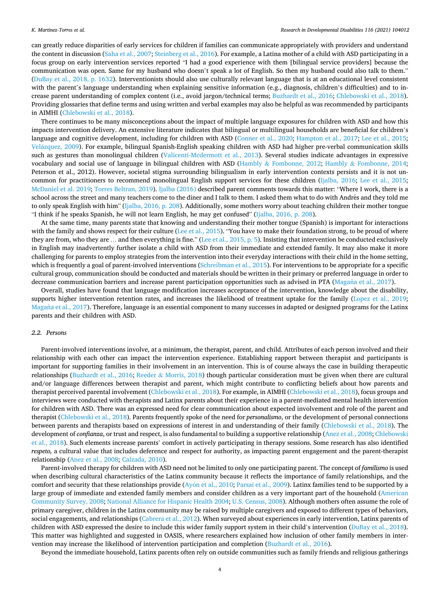can greatly reduce disparities of early services for children if families can communicate appropriately with providers and understand the content in discussion ([Saha et al., 2007](#page-10-0); [Steinberg et al., 2016\)](#page-10-0). For example, a Latina mother of a child with ASD participating in a focus group on early intervention services reported "I had a good experience with them [bilingual service providers] because the communication was open. Same for my husband who doesn't speak a lot of English. So then my husband could also talk to them." [\(DuBay et al., 2018, p. 1632\)](#page-8-0). Interventionists should also use culturally relevant language that is at an educational level consistent with the parent's language understanding when explaining sensitive information (e.g., diagnosis, children's difficulties) and to increase parent understanding of complex content (i.e., avoid jargon/technical terms; [Buzhardt et al., 2016;](#page-8-0) [Chlebowski et al., 2018](#page-8-0)). Providing glossaries that define terms and using written and verbal examples may also be helpful as was recommended by participants in AIMHI [\(Chlebowski et al., 2018\)](#page-8-0).

There continues to be many misconceptions about the impact of multiple language exposures for children with ASD and how this impacts intervention delivery. An extensive literature indicates that bilingual or multilingual households are beneficial for children's language and cognitive development, including for children with ASD ([Conner et al., 2020](#page-8-0); [Hampton et al., 2017;](#page-9-0) [Lee et al., 2015](#page-9-0); Velázquez, 2009). For example, bilingual Spanish-English speaking children with ASD had higher pre-verbal communication skills such as gestures than monolingual children [\(Valicenti-Mcdermott et al., 2013](#page-10-0)). Several studies indicate advantages in expressive vocabulary and social use of language in bilingual children with ASD (Hambly & [Fombonne, 2012](#page-9-0); Hambly & [Fombonne, 2014](#page-9-0); Peterson et al., 2012). However, societal stigma surrounding bilingualism in early intervention contexts persists and it is not uncommon for practitioners to recommend monolingual English support services for these children ([Ijalba, 2016](#page-9-0); [Lee et al., 2015](#page-9-0); [McDaniel et al. 2019](#page-9-0); [Torres Beltran, 2019](#page-10-0)). [Ijalba \(2016\)](#page-9-0) described parent comments towards this matter: "Where I work, there is a school across the street and many teachers come to the diner and I talk to them. I asked them what to do with Andrés and they told me to only speak English with him" [\(Ijalba, 2016, p. 208](#page-9-0)). Additionally, some mothers worry about teaching children their mother tongue "I think if he speaks Spanish, he will not learn English, he may get confused" [\(Ijalba, 2016, p. 208\)](#page-9-0).

At the same time, many parents state that knowing and understanding their mother tongue (Spanish) is important for interactions with the family and shows respect for their culture ([Lee et al., 2015\)](#page-9-0). "You have to make their foundation strong, to be proud of where they are from, who they are ... and then everything is fine." [\(Lee et al., 2015, p. 5\)](#page-9-0). Insisting that intervention be conducted exclusively in English may inadvertently further isolate a child with ASD from their immediate and extended family. It may also make it more challenging for parents to employ strategies from the intervention into their everyday interactions with their child in the home setting, which is frequently a goal of parent-involved interventions ([Schreibman et al., 2015](#page-10-0)). For interventions to be appropriate for a specific cultural group, communication should be conducted and materials should be written in their primary or preferred language in order to decrease communication barriers and increase parent participation opportunities such as advised in PTA (Magaña [et al., 2017\)](#page-9-0).

Overall, studies have found that language modification increases acceptance of the intervention, knowledge about the disability, supports higher intervention retention rates, and increases the likelihood of treatment uptake for the family [\(Lopez et al., 2019](#page-9-0); Magaña [et al., 2017\)](#page-9-0). Therefore, language is an essential component to many successes in adapted or designed programs for the Latinx parents and their children with ASD.

#### *2.2. Persons*

Parent-involved interventions involve, at a minimum, the therapist, parent, and child. Attributes of each person involved and their relationship with each other can impact the intervention experience. Establishing rapport between therapist and participants is important for supporting families in their involvement in an intervention. This is of course always the case in building therapeutic relationships ([Buzhardt et al., 2016](#page-8-0); Reeder & [Morris, 2018](#page-10-0)) though particular consideration must be given when there are cultural and/or language differences between therapist and parent, which might contribute to conflicting beliefs about how parents and therapist perceived parental involvement ([Chlebowski et al., 2018](#page-8-0)). For example, in AIMHI ([Chlebowski et al., 2018\)](#page-8-0), focus groups and interviews were conducted with therapists and Latinx parents about their experience in a parent-mediated mental health intervention for children with ASD. There was an expressed need for clear communication about expected involvement and role of the parent and therapist [\(Chlebowski et al., 2018](#page-8-0)). Parents frequently spoke of the need for *personalismo*, or the development of personal connections between parents and therapists based on expressions of interest in and understanding of their family ([Chlebowski et al., 2018](#page-8-0)). The development of *confianza*, or trust and respect, is also fundamental to building a supportive relationship ([Anez et al., 2008; Chlebowski](#page-8-0) [et al., 2018\)](#page-8-0). Such elements increase parents' comfort in actively participating in therapy sessions. Some research has also identified *respeto,* a cultural value that includes deference and respect for authority, as impacting parent engagement and the parent-therapist relationship [\(Anez et al., 2008; Calzada, 2010](#page-8-0)).

Parent-involved therapy for children with ASD need not be limited to only one participating parent. The concept of *familismo* is used when describing cultural characteristics of the Latinx community because it reflects the importance of family relationships, and the comfort and security that these relationships provide (Ayón [et al., 2010;](#page-8-0) [Parsai et al., 2009\)](#page-10-0). Latinx families tend to be supported by a large group of immediate and extended family members and consider children as a very important part of the household [\(American](#page-8-0) [Community Survey, 2008](#page-8-0); [National Alliance for Hispanic Health 2004](#page-9-0); [U.S. Census, 2008\)](#page-10-0). Although mothers often assume the role of primary caregiver, children in the Latinx community may be raised by multiple caregivers and exposed to different types of behaviors, social engagements, and relationships ([Cabrera et al., 2012](#page-8-0)). When surveyed about experiences in early intervention, Latinx parents of children with ASD expressed the desire to include this wider family support system in their child's intervention ([DuBay et al., 2018](#page-8-0)). This matter was highlighted and suggested in OASIS, where researchers explained how inclusion of other family members in intervention may increase the likelihood of intervention participation and completion [\(Buzhardt et al., 2016\)](#page-8-0).

Beyond the immediate household, Latinx parents often rely on outside communities such as family friends and religious gatherings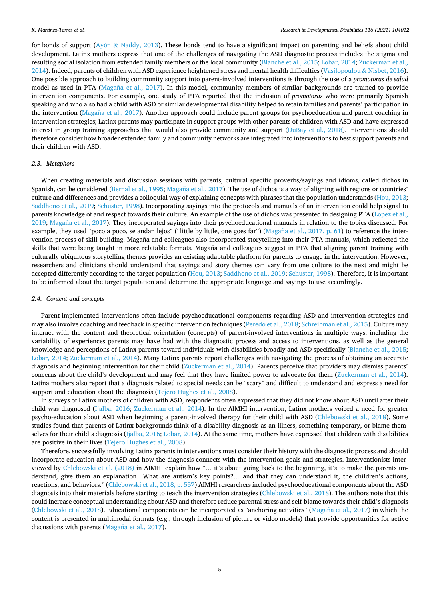for bonds of support (Ayón & [Naddy, 2013\)](#page-8-0). These bonds tend to have a significant impact on parenting and beliefs about child development. Latinx mothers express that one of the challenges of navigating the ASD diagnostic process includes the stigma and resulting social isolation from extended family members or the local community [\(Blanche et al., 2015;](#page-8-0) [Lobar, 2014](#page-9-0); [Zuckerman et al.,](#page-11-0) [2014\)](#page-11-0). Indeed, parents of children with ASD experience heightened stress and mental health difficulties [\(Vasilopoulou](#page-10-0) & Nisbet, 2016). One possible approach to building community support into parent-involved interventions is through the use of a *promotoras de salud*  model as used in PTA (Magaña [et al., 2017](#page-9-0)). In this model, community members of similar backgrounds are trained to provide intervention components. For example, one study of PTA reported that the inclusion of *promotoras* who were primarily Spanish speaking and who also had a child with ASD or similar developmental disability helped to retain families and parents' participation in the intervention (Magaña [et al., 2017\)](#page-9-0). Another approach could include parent groups for psychoeducation and parent coaching in intervention strategies; Latinx parents may participate in support groups with other parents of children with ASD and have expressed interest in group training approaches that would also provide community and support [\(DuBay et al., 2018\)](#page-8-0). Interventions should therefore consider how broader extended family and community networks are integrated into interventions to best support parents and their children with ASD.

# *2.3. Metaphors*

When creating materials and discussion sessions with parents, cultural specific proverbs/sayings and idioms, called dichos in Spanish, can be considered [\(Bernal et al., 1995](#page-8-0); Magaña [et al., 2017\)](#page-9-0). The use of dichos is a way of aligning with regions or countries' culture and differences and provides a colloquial way of explaining concepts with phrases that the population understands [\(Hou, 2013](#page-9-0); [Saddhono et al., 2019](#page-10-0); [Schuster, 1998](#page-10-0)). Incorporating sayings into the protocols and manuals of an intervention could help signal to parents knowledge of and respect towards their culture. An example of the use of dichos was presented in designing PTA [\(Lopez et al.,](#page-9-0) [2019;](#page-9-0) Magaña [et al., 2017](#page-9-0)). They incorporated sayings into their psychoeducational manuals in relation to the topics discussed. For example, they used "poco a poco, se andan lejos" ("little by little, one goes far") (Magaña [et al., 2017, p. 61](#page-9-0)) to reference the intervention process of skill building. Magaña and colleagues also incorporated storytelling into their PTA manuals, which reflected the skills that were being taught in more relatable formats. Magaña and colleagues suggest in PTA that aligning parent training with culturally ubiquitous storytelling themes provides an existing adaptable platform for parents to engage in the intervention. However, researchers and clinicians should understand that sayings and story themes can vary from one culture to the next and might be accepted differently according to the target population ([Hou, 2013;](#page-9-0) [Saddhono et al., 2019](#page-10-0); [Schuster, 1998\)](#page-10-0). Therefore, it is important to be informed about the target population and determine the appropriate language and sayings to use accordingly.

# *2.4. Content and concepts*

Parent-implemented interventions often include psychoeducational components regarding ASD and intervention strategies and may also involve coaching and feedback in specific intervention techniques [\(Peredo et al., 2018](#page-10-0); [Schreibman et al., 2015](#page-10-0)). Culture may interact with the content and theoretical orientation (concepts) of parent-involved interventions in multiple ways, including the variability of experiences parents may have had with the diagnostic process and access to interventions, as well as the general knowledge and perceptions of Latinx parents toward individuals with disabilities broadly and ASD specifically ([Blanche et al., 2015](#page-8-0); [Lobar, 2014](#page-9-0); [Zuckerman et al., 2014\)](#page-11-0). Many Latinx parents report challenges with navigating the process of obtaining an accurate diagnosis and beginning intervention for their child ([Zuckerman et al., 2014](#page-11-0)). Parents perceive that providers may dismiss parents' concerns about the child's development and may feel that they have limited power to advocate for them [\(Zuckerman et al., 2014](#page-11-0)). Latina mothers also report that a diagnosis related to special needs can be "scary" and difficult to understand and express a need for support and education about the diagnosis ([Tejero Hughes et al., 2008\)](#page-10-0).

In surveys of Latinx mothers of children with ASD, respondents often expressed that they did not know about ASD until after their child was diagnosed ([Ijalba, 2016;](#page-9-0) [Zuckerman et al., 2014\)](#page-11-0). In the AIMHI intervention, Latinx mothers voiced a need for greater psycho-education about ASD when beginning a parent-involved therapy for their child with ASD [\(Chlebowski et al., 2018\)](#page-8-0). Some studies found that parents of Latinx backgrounds think of a disability diagnosis as an illness, something temporary, or blame themselves for their child's diagnosis [\(Ijalba, 2016](#page-9-0); [Lobar, 2014](#page-9-0)). At the same time, mothers have expressed that children with disabilities are positive in their lives [\(Tejero Hughes et al., 2008](#page-10-0)).

Therefore, successfully involving Latinx parents in interventions must consider their history with the diagnostic process and should incorporate education about ASD and how the diagnosis connects with the intervention goals and strategies. Interventionists interviewed by [Chlebowski et al. \(2018\)](#page-8-0) in AIMHI explain how "… it's about going back to the beginning, it's to make the parents understand, give them an explanation…What are autism's key points?… and that they can understand it, the children's actions, reactions, and behaviors." [\(Chlebowski et al., 2018, p. 557\)](#page-8-0) AIMHI researchers included psychoeducational components about the ASD diagnosis into their materials before starting to teach the intervention strategies ([Chlebowski et al., 2018](#page-8-0)). The authors note that this could increase conceptual understanding about ASD and therefore reduce parental stress and self-blame towards their child's diagnosis [\(Chlebowski et al., 2018](#page-8-0)). Educational components can be incorporated as "anchoring activities" (Magaña [et al., 2017\)](#page-9-0) in which the content is presented in multimodal formats (e.g., through inclusion of picture or video models) that provide opportunities for active discussions with parents (Magaña [et al., 2017\)](#page-9-0).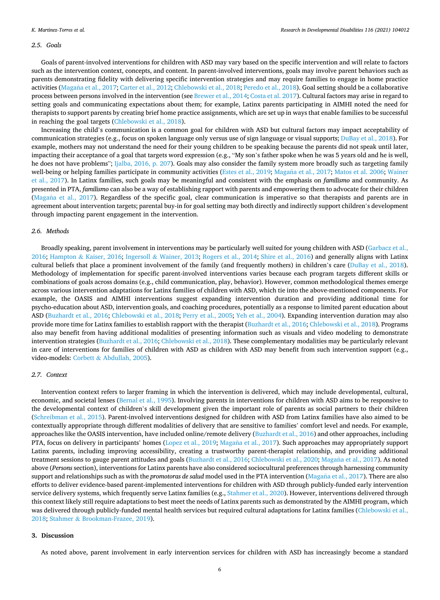#### *2.5. Goals*

Goals of parent-involved interventions for children with ASD may vary based on the specific intervention and will relate to factors such as the intervention context, concepts, and content. In parent-involved interventions, goals may involve parent behaviors such as parents demonstrating fidelity with delivering specific intervention strategies and may require families to engage in home practice activities (Magaña [et al., 2017;](#page-9-0) [Carter et al., 2012; Chlebowski et al., 2018](#page-8-0); [Peredo et al., 2018](#page-10-0)). Goal setting should be a collaborative process between persons involved in the intervention (see [Brewer et al., 2014; Costa et al. 2017](#page-8-0)). Cultural factors may arise in regard to setting goals and communicating expectations about them; for example, Latinx parents participating in AIMHI noted the need for therapists to support parents by creating brief home practice assignments, which are set up in ways that enable families to be successful in reaching the goal targets [\(Chlebowski et al., 2018\)](#page-8-0).

Increasing the child's communication is a common goal for children with ASD but cultural factors may impact acceptability of communication strategies (e.g., focus on spoken language only versus use of sign language or visual supports; [DuBay et al., 2018](#page-8-0)). For example, mothers may not understand the need for their young children to be speaking because the parents did not speak until later, impacting their acceptance of a goal that targets word expression (e.g., "My son's father spoke when he was 5 years old and he is well, he does not have problems"; [Ijalba, 2016, p. 207](#page-9-0)). Goals may also consider the family system more broadly such as targeting family well-being or helping families participate in community activities [\(Estes et al., 2019](#page-8-0); Magaña [et al., 2017; Matos et al. 2006](#page-9-0); [Wainer](#page-10-0) [et al., 2017](#page-10-0)). In Latinx families, such goals may be meaningful and consistent with the emphasis on *familismo* and community. As presented in PTA, *familismo* can also be a way of establishing rapport with parents and empowering them to advocate for their children (Magaña [et al., 2017\)](#page-9-0). Regardless of the specific goal, clear communication is imperative so that therapists and parents are in agreement about intervention targets; parental buy-in for goal setting may both directly and indirectly support children's development through impacting parent engagement in the intervention.

### *2.6. Methods*

Broadly speaking, parent involvement in interventions may be particularly well suited for young children with ASD ([Garbacz et al.,](#page-8-0) [2016;](#page-8-0) Hampton & [Kaiser, 2016;](#page-9-0) Ingersoll & [Wainer, 2013;](#page-9-0) [Rogers et al., 2014](#page-10-0); [Shire et al., 2016\)](#page-10-0) and generally aligns with Latinx cultural beliefs that place a prominent involvement of the family (and frequently mothers) in children's care [\(DuBay et al., 2018](#page-8-0)). Methodology of implementation for specific parent-involved interventions varies because each program targets different skills or combinations of goals across domains (e.g., child communication, play, behavior). However, common methodological themes emerge across various intervention adaptations for Latinx families of children with ASD, which tie into the above-mentioned components. For example, the OASIS and AIMHI interventions suggest expanding intervention duration and providing additional time for psycho-education about ASD, intervention goals, and coaching procedures, potentially as a response to limited parent education about ASD [\(Buzhardt et al., 2016;](#page-8-0) [Chlebowski et al., 2018;](#page-8-0) [Perry et al., 2005; Yeh et al., 2004](#page-10-0)). Expanding intervention duration may also provide more time for Latinx families to establish rapport with the therapist [\(Buzhardt et al., 2016](#page-8-0); [Chlebowski et al., 2018\)](#page-8-0). Programs also may benefit from having additional modalities of presenting information such as visuals and video modeling to demonstrate intervention strategies [\(Buzhardt et al., 2016; Chlebowski et al., 2018\)](#page-8-0). These complementary modalities may be particularly relevant in care of interventions for families of children with ASD as children with ASD may benefit from such intervention support (e.g., video-models: Corbett & [Abdullah, 2005\)](#page-8-0).

# *2.7. Context*

Intervention context refers to larger framing in which the intervention is delivered, which may include developmental, cultural, economic, and societal lenses ([Bernal et al., 1995](#page-8-0)). Involving parents in interventions for children with ASD aims to be responsive to the developmental context of children's skill development given the important role of parents as social partners to their children [\(Schreibman et al., 2015](#page-10-0)). Parent-involved interventions designed for children with ASD from Latinx families have also aimed to be contextually appropriate through different modalities of delivery that are sensitive to families' comfort level and needs. For example, approaches like the OASIS intervention, have included online/remote delivery ([Buzhardt et al., 2016](#page-8-0)) and other approaches, including PTA, focus on delivery in participants' homes ([Lopez et al., 2019;](#page-9-0) Magaña [et al., 2017](#page-9-0)). Such approaches may appropriately support Latinx parents, including improving accessibility, creating a trustworthy parent-therapist relationship, and providing additional treatment sessions to gauge parent attitudes and goals [\(Buzhardt et al., 2016; Chlebowski et al., 2020;](#page-8-0) Magaña [et al., 2017](#page-9-0)). As noted above (*Persons* section), interventions for Latinx parents have also considered sociocultural preferences through harnessing community support and relationships such as with the *promotoras de salud* model used in the PTA intervention (Magaña [et al., 2017\)](#page-9-0). There are also efforts to deliver evidence-based parent-implemented interventions for children with ASD through publicly-funded early intervention service delivery systems, which frequently serve Latinx families (e.g., [Stahmer et al., 2020\)](#page-10-0). However, interventions delivered through this context likely still require adaptations to best meet the needs of Latinx parents such as demonstrated by the AIMHI program, which was delivered through publicly-funded mental health services but required cultural adaptations for Latinx families [\(Chlebowski et al.,](#page-8-0) [2018;](#page-8-0) Stahmer & [Brookman-Frazee, 2019](#page-10-0)).

#### **3. Discussion**

As noted above, parent involvement in early intervention services for children with ASD has increasingly become a standard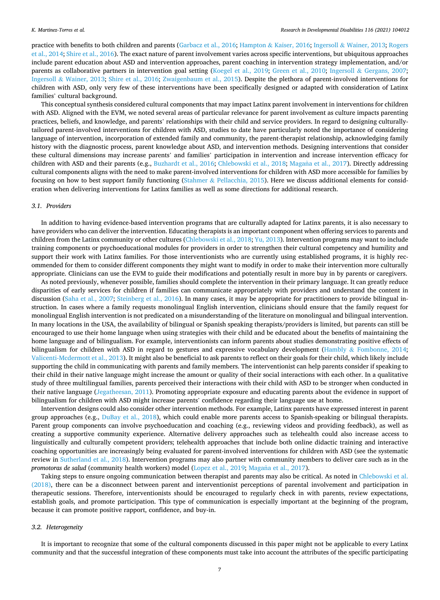#### *K. Martinez-Torres et al.*

practice with benefits to both children and parents ([Garbacz et al., 2016](#page-8-0); Hampton & [Kaiser, 2016;](#page-9-0) Ingersoll & [Wainer, 2013;](#page-9-0) [Rogers](#page-10-0) [et al., 2014](#page-10-0); [Shire et al., 2016](#page-10-0)). The exact nature of parent involvement varies across specific interventions, but ubiquitous approaches include parent education about ASD and intervention approaches, parent coaching in intervention strategy implementation, and/or parents as collaborative partners in intervention goal setting ([Koegel et al., 2019](#page-9-0); [Green et al., 2010](#page-9-0); Ingersoll & [Gergans, 2007](#page-9-0); Ingersoll & [Wainer, 2013;](#page-9-0) [Shire et al., 2016](#page-10-0); [Zwaigenbaum et al., 2015\)](#page-11-0). Despite the plethora of parent-involved interventions for children with ASD, only very few of these interventions have been specifically designed or adapted with consideration of Latinx families' cultural background.

This conceptual synthesis considered cultural components that may impact Latinx parent involvement in interventions for children with ASD. Aligned with the EVM, we noted several areas of particular relevance for parent involvement as culture impacts parenting practices, beliefs, and knowledge, and parents' relationships with their child and service providers. In regard to designing culturallytailored parent-involved interventions for children with ASD, studies to date have particularly noted the importance of considering language of intervention, incorporation of extended family and community, the parent-therapist relationship, acknowledging family history with the diagnostic process, parent knowledge about ASD, and intervention methods. Designing interventions that consider these cultural dimensions may increase parents' and families' participation in intervention and increase intervention efficacy for children with ASD and their parents (e.g., [Buzhardt et al., 2016](#page-8-0); [Chlebowski et al., 2018;](#page-8-0) Magaña [et al., 2017](#page-9-0)). Directly addressing cultural components aligns with the need to make parent-involved interventions for children with ASD more accessible for families by focusing on how to best support family functioning (Stahmer & [Pellacchia, 2015](#page-10-0)). Here we discuss additional elements for consideration when delivering interventions for Latinx families as well as some directions for additional research.

#### *3.1. Providers*

In addition to having evidence-based intervention programs that are culturally adapted for Latinx parents, it is also necessary to have providers who can deliver the intervention. Educating therapists is an important component when offering services to parents and children from the Latinx community or other cultures ([Chlebowski et al., 2018](#page-8-0); [Yu, 2013\)](#page-11-0). Intervention programs may want to include training components or psychoeducational modules for providers in order to strengthen their cultural competency and humility and support their work with Latinx families. For those interventionists who are currently using established programs, it is highly recommended for them to consider different components they might want to modify in order to make their intervention more culturally appropriate. Clinicians can use the EVM to guide their modifications and potentially result in more buy in by parents or caregivers.

As noted previously, whenever possible, families should complete the intervention in their primary language. It can greatly reduce disparities of early services for children if families can communicate appropriately with providers and understand the content in discussion [\(Saha et al., 2007](#page-10-0); [Steinberg et al., 2016](#page-10-0)). In many cases, it may be appropriate for practitioners to provide bilingual instruction. In cases where a family requests monolingual English intervention, clinicians should ensure that the family request for monolingual English intervention is not predicated on a misunderstanding of the literature on monolingual and bilingual intervention. In many locations in the USA, the availability of bilingual or Spanish speaking therapists/providers is limited, but parents can still be encouraged to use their home language when using strategies with their child and be educated about the benefits of maintaining the home language and of bilingualism. For example, interventionists can inform parents about studies demonstrating positive effects of bilingualism for children with ASD in regard to gestures and expressive vocabulary development (Hambly & [Fombonne, 2014](#page-9-0); [Valicenti-Mcdermott et al., 2013\)](#page-10-0). It might also be beneficial to ask parents to reflect on their goals for their child, which likely include supporting the child in communicating with parents and family members. The interventionist can help parents consider if speaking to their child in their native language might increase the amount or quality of their social interactions with each other. In a qualitative study of three multilingual families, parents perceived their interactions with their child with ASD to be stronger when conducted in their native language ([Jegatheesan, 2011](#page-9-0)). Promoting appropriate exposure and educating parents about the evidence in support of bilingualism for children with ASD might increase parents' confidence regarding their language use at home.

Intervention designs could also consider other intervention methods. For example, Latinx parents have expressed interest in parent group approaches (e.g., [DuBay et al., 2018\)](#page-8-0), which could enable more parents access to Spanish-speaking or bilingual therapists. Parent group components can involve psychoeducation and coaching (e.g., reviewing videos and providing feedback), as well as creating a supportive community experience. Alternative delivery approaches such as telehealth could also increase access to linguistically and culturally competent providers; telehealth approaches that include both online didactic training and interactive coaching opportunities are increasingly being evaluated for parent-involved interventions for children with ASD (see the systematic review in [Sutherland et al., 2018\)](#page-10-0). Intervention programs may also partner with community members to deliver care such as in the *promotoras de salud* (community health workers) model ([Lopez et al., 2019](#page-9-0); Magaña [et al., 2017](#page-9-0)).

Taking steps to ensure ongoing communication between therapist and parents may also be critical. As noted in [Chlebowski et al.](#page-8-0) [\(2018\),](#page-8-0) there can be a disconnect between parent and interventionist perceptions of parental involvement and participation in therapeutic sessions. Therefore, interventionists should be encouraged to regularly check in with parents, review expectations, establish goals, and promote participation. This type of communication is especially important at the beginning of the program, because it can promote positive rapport, confidence, and buy-in.

#### *3.2. Heterogeneity*

It is important to recognize that some of the cultural components discussed in this paper might not be applicable to every Latinx community and that the successful integration of these components must take into account the attributes of the specific participating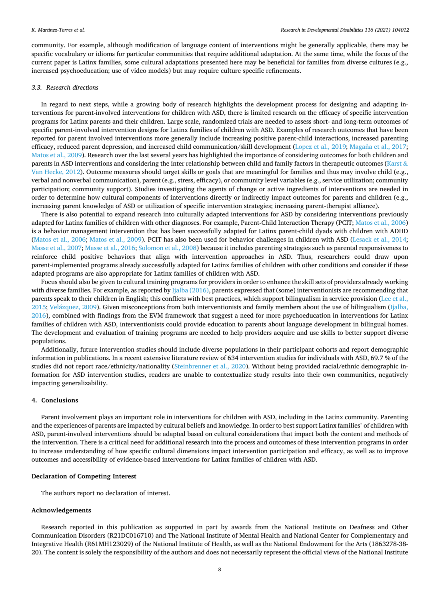community. For example, although modification of language content of interventions might be generally applicable, there may be specific vocabulary or idioms for particular communities that require additional adaptation. At the same time, while the focus of the current paper is Latinx families, some cultural adaptations presented here may be beneficial for families from diverse cultures (e.g., increased psychoeducation; use of video models) but may require culture specific refinements.

#### *3.3. Research directions*

In regard to next steps, while a growing body of research highlights the development process for designing and adapting interventions for parent-involved interventions for children with ASD, there is limited research on the efficacy of specific intervention programs for Latinx parents and their children. Large scale, randomized trials are needed to assess short- and long-term outcomes of specific parent-involved intervention designs for Latinx families of children with ASD. Examples of research outcomes that have been reported for parent involved interventions more generally include increasing positive parent-child interactions, increased parenting efficacy, reduced parent depression, and increased child communication/skill development [\(Lopez et al., 2019](#page-9-0); Magaña [et al., 2017](#page-9-0); [Matos et al., 2009](#page-9-0)). Research over the last several years has highlighted the importance of considering outcomes for both children and parents in ASD interventions and considering the inter relationship between child and family factors in therapeutic outcomes [\(Karst](#page-9-0)  $\&$ [Van Hecke, 2012](#page-9-0)). Outcome measures should target skills or goals that are meaningful for families and thus may involve child (e.g., verbal and nonverbal communication), parent (e.g., stress, efficacy), or community level variables (e.g., service utilization; community participation; community support). Studies investigating the agents of change or active ingredients of interventions are needed in order to determine how cultural components of interventions directly or indirectly impact outcomes for parents and children (e.g., increasing parent knowledge of ASD or utilization of specific intervention strategies; increasing parent-therapist alliance).

There is also potential to expand research into culturally adapted interventions for ASD by considering interventions previously adapted for Latinx families of children with other diagnoses. For example, Parent-Child Interaction Therapy (PCIT; [Matos et al., 2006](#page-9-0)) is a behavior management intervention that has been successfully adapted for Latinx parent-child dyads with children with ADHD [\(Matos et al., 2006](#page-9-0); [Matos et al., 2009](#page-9-0)). PCIT has also been used for behavior challenges in children with ASD ([Lesack et al., 2014](#page-9-0); [Masse et al., 2007](#page-9-0); [Masse et al., 2016;](#page-9-0) [Solomon et al., 2008](#page-10-0)) because it includes parenting strategies such as parental responsiveness to reinforce child positive behaviors that align with intervention approaches in ASD. Thus, researchers could draw upon parent-implemented programs already successfully adapted for Latinx families of children with other conditions and consider if these adapted programs are also appropriate for Latinx families of children with ASD.

Focus should also be given to cultural training programs for providers in order to enhance the skill sets of providers already working with diverse families. For example, as reported by  $Ijalba$  (2016), parents expressed that (some) interventionists are recommending that parents speak to their children in English; this conflicts with best practices, which support bilingualism in service provision ([Lee et al.,](#page-9-0) [2015;](#page-9-0) Velázquez, 2009). Given misconceptions from both interventionists and family members about the use of bilingualism [\(Ijalba,](#page-9-0) [2016\)](#page-9-0), combined with findings from the EVM framework that suggest a need for more psychoeducation in interventions for Latinx families of children with ASD, interventionists could provide education to parents about language development in bilingual homes. The development and evaluation of training programs are needed to help providers acquire and use skills to better support diverse populations.

Additionally, future intervention studies should include diverse populations in their participant cohorts and report demographic information in publications. In a recent extensive literature review of 634 intervention studies for individuals with ASD, 69.7 % of the studies did not report race/ethnicity/nationality ([Steinbrenner et al., 2020](#page-10-0)). Without being provided racial/ethnic demographic information for ASD intervention studies, readers are unable to contextualize study results into their own communities, negatively impacting generalizability.

# **4. Conclusions**

Parent involvement plays an important role in interventions for children with ASD, including in the Latinx community. Parenting and the experiences of parents are impacted by cultural beliefs and knowledge. In order to best support Latinx families' of children with ASD, parent-involved interventions should be adapted based on cultural considerations that impact both the content and methods of the intervention. There is a critical need for additional research into the process and outcomes of these intervention programs in order to increase understanding of how specific cultural dimensions impact intervention participation and efficacy, as well as to improve outcomes and accessibility of evidence-based interventions for Latinx families of children with ASD.

# **Declaration of Competing Interest**

The authors report no declaration of interest.

### **Acknowledgements**

Research reported in this publication as supported in part by awards from the National Institute on Deafness and Other Communication Disorders (R21DC016710) and The National Institute of Mental Health and National Center for Complementary and Integrative Health (R61MH123029) of the National Institute of Health, as well as the National Endowment for the Arts (1863278-38- 20). The content is solely the responsibility of the authors and does not necessarily represent the official views of the National Institute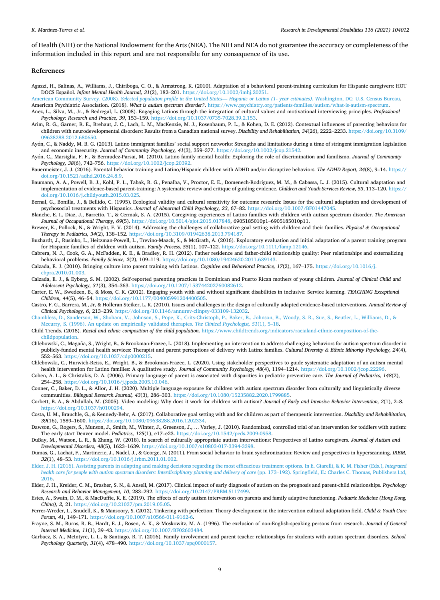<span id="page-8-0"></span>of Health (NIH) or the National Endowment for the Arts (NEA). The NIH and NEA do not guarantee the accuracy or completeness of the information included in this report and are not responsible for any consequence of its use.

#### **References**

- Agazzi, H., Salinas, A., Williams, J., Chiriboga, C. O., & Armstrong, K. (2010). Adaptation of a behavioral parent-training curriculum for Hispanic caregivers: HOT DOCS Español. *Infant Mental Health Journal*, 31(2), 182-201. [https://doi.org/10.1002/imhj.20251.](https://doi.org/10.1002/imhj.20251)
- American Community Survey. (2008). *[Selected population profile in the United States](http://refhub.elsevier.com/S0891-4222(21)00161-X/sbref0010) Hispanic or Latino (1- year estimates)*. Washington, DC: U.S. Census Bureau. American Psychiatric Association. (2018). *What is autism spectrum disorder?*. [https://www.psychiatry.org/patients-families/autism/what-is-autism-spectrum.](https://www.psychiatry.org/patients-families/autism/what-is-autism-spectrum)
- Anez, L., Silva, M., Jr., & Bedregal, L. (2008). Engaging Latinos through the integration of cultural values and motivational interviewing principles. *Professional*
- *Psychology: Research and Practice, 39*, 153–159. [https://doi.org/10.1037/0735-7028.39.2.153.](https://doi.org/10.1037/0735-7028.39.2.153)
- Arim, R. G., Garner, R. E., Brehaut, J. C., Lach, L. M., MacKenzie, M. J., Rosenbaum, P. L., & Kohen, D. E. (2012). Contextual influences of parenting behaviors for children with neurodevelopmental disorders: Results from a Canadian national survey. *Disability and Rehabilitation, 34*(26), 2222–2233. [https://doi.org/10.3109/](https://doi.org/10.3109/09638288.2012.680650) [09638288.2012.680650](https://doi.org/10.3109/09638288.2012.680650).
- Ayón, C., & Naddy, M. B. G. (2013). Latino immigrant families' social support networks: Strengths and limitations during a time of stringent immigration legislation and economic insecurity. *Journal of Community Psychology, 41*(3), 359–377. [https://doi.org/10.1002/jcop.21542.](https://doi.org/10.1002/jcop.21542)
- Ayón, C., Marsiglia, F. F., & Bermudez-Parsai, M. (2010). Latino family mental health: Exploring the role of discrimination and familismo. *Journal of Community Psychology, 38*(6), 742–756. [https://doi.org/10.1002/jcop.20392.](https://doi.org/10.1002/jcop.20392)
- Bauermeister, J. J. (2016). Parental behavior training and Latino/Hispanic children with ADHD and/or disruptive behaviors. *The ADHD Report, 24*(8), 9–14. [https://](https://doi.org/10.1521/adhd.2016.24.8.9) [doi.org/10.1521/adhd.2016.24.8.9.](https://doi.org/10.1521/adhd.2016.24.8.9)
- Baumann, A. A., Powell, B. J., Kohl, P. L., Tabak, R. G., Penalba, V., Proctor, E. E., Domenech-Rodriguez, M. M., & Cabassa, L. J. (2015). Cultural adaptation and implementation of evidence-based parent-training: A systematic review and critique of guiding evidence. *Children and Youth Services Review, 53*, 113–120. [https://](https://doi.org/10.1016/j.childyouth.2015.03.025) [doi.org/10.1016/j.childyouth.2015.03.025](https://doi.org/10.1016/j.childyouth.2015.03.025).
- Bernal, G., Bonilla, J., & Bellido, C. (1995). Ecological validity and cultural sensitivity for outcome research: Issues for the cultural adaptation and development of psychosocial treatments with Hispanics. *Journal of Abnormal Child Psychology, 23*, 67–82. [https://doi.org/10.1007/BF01447045.](https://doi.org/10.1007/BF01447045)
- Blanche, E. I., Diaz, J., Barretto, T., & Cermak, S. A. (2015). Caregiving experiences of Latino families with children with autism spectrum disorder. *The American Journal of Occupational Therapy, 69*(5).<https://doi.org/10.5014/ajot.2015.017848>, 6905185010p1–6905185010p11.
- Brewer, K., Pollock, N., & Wright, F. V. (2014). Addressing the challenges of collaborative goal setting with children and their families. *Physical & Occupational Therapy in Pediatrics, 34*(2), 138–152. [https://doi.org/10.3109/01942638.2013.794187.](https://doi.org/10.3109/01942638.2013.794187)
- Buzhardt, J., Rusinko, L., Heitzman-Powell, L., Trevino-Maack, S., & McGrath, A. (2016). Exploratory evaluation and initial adaptation of a parent training program for Hispanic families of children with autism. *Family Process, 55*(1), 107–122. <https://doi.org/10.1111/famp.12146>.
- Cabrera, N. J., Cook, G. A., McFadden, K. E., & Bradley, R. H. (2012). Father residence and father-child relationship quality: Peer relationships and externalizing behavioral problems. *Family Science, 2*(2), 109–119. <https://doi.org/10.1080/19424620.2011.639143>.
- Calzada, E. J. (2010). Bringing culture into parent training with Latinos. *Cognitive and Behavioral Practice, 17*(2), 167–175. [https://doi.org/10.1016/j.](https://doi.org/10.1016/j.cbpra.2010.01.003) [cbpra.2010.01.003](https://doi.org/10.1016/j.cbpra.2010.01.003).
- Calzada, E. J., & Eyberg, S. M. (2002). Self-reported parenting practices in Dominican and Puerto Rican mothers of young children. *Journal of Clinical Child and Adolescent Psychology, 31*(3), 354–363. <https://doi.org/10.1207/153744202760082612>.
- Carter, E. W., Swedeen, B., & Moss, C. K. (2012). Engaging youth with and without significant disabilities in inclusive: Service learning. *TEACHING Exceptional Children, 44*(5), 46–54. [https://doi.org/10.1177/004005991204400505.](https://doi.org/10.1177/004005991204400505)
- Castro, F. G., Barrera, M., Jr, & Holleran Steiker, L. K. (2010). Issues and challenges in the design of culturally adapted evidence-based interventions. *Annual Review of Clinical Psychology, 6*, 213–239. [https://doi.org/10.1146/annurev-clinpsy-033109-132032.](https://doi.org/10.1146/annurev-clinpsy-033109-132032)
- [Chambless, D., Sanderson, W., Shoham, V., Johnson, S., Pope, K., Crits-Christoph, P., Baker, B., Johnson, B., Woody, S. R., Sue, S., Beutler, L., Williams, D., &](http://refhub.elsevier.com/S0891-4222(21)00161-X/sbref0095)  [Mccurry, S. \(1996\). An update on empirically validated therapies.](http://refhub.elsevier.com/S0891-4222(21)00161-X/sbref0095) *The Clinical Psychologist, 51*(1), 5–18.
- Child Trends. (2018). *Racial and ethnic composition of the child population*. [https://www.childtrends.org/indicators/racialand-ethnic-composition-of-the](https://www.childtrends.org/indicators/racialand-ethnic-composition-of-the-childpopulation)[childpopulation.](https://www.childtrends.org/indicators/racialand-ethnic-composition-of-the-childpopulation)
- Chlebowski, C., Magaña, S., Wright, B., & Brookman-Frazee, L. (2018). Implementing an intervention to address challenging behaviors for autism spectrum disorder in publicly-funded mental health services: Therapist and parent perceptions of delivery with Latinx families. *Cultural Diversity & Ethnic Minority Psychology, 24*(4), 552–563. [https://doi.org/10.1037/cdp0000215.](https://doi.org/10.1037/cdp0000215)
- Chlebowski, C., Hurwich-Reiss, E., Wright, B., & Brookman-Frazee, L. (2020). Using stakeholder perspectives to guide systematic adaptation of an autism mental health intervention for Latinx families: A qualitative study. *Journal of Community Psychology, 48*(4), 1194–1214. <https://doi.org/10.1002/jcop.22296>.
- Cohen, A. L., & Christakis, D. A. (2006). Primary language of parent is associated with disparities in pediatric preventive care. *The Journal of Pediatrics, 148*(2), 254–258. <https://doi.org/10.1016/j.jpeds.2005.10.046>.
- Conner, C., Baker, D. L., & Allor, J. H. (2020). Multiple language exposure for children with autism spectrum disorder from culturally and linguistically diverse communities. *Bilingual Research Journal, 43*(3), 286–303. <https://doi.org/10.1080/15235882.2020.1799885>.
- Corbett, B. A., & Abdullah, M. (2005). Video modeling: Why does it work for children with autism? *Journal of Early and Intensive Behavior Intervention, 2*(1), 2–8. [https://doi.org/10.1037/h0100294.](https://doi.org/10.1037/h0100294)
- Costa, U. M., Brauchle, G., & Kennedy-Behr, A. (2017). Collaborative goal setting with and for children as part of therapeutic intervention. *Disability and Rehabilitation, 39*(16), 1589–1600. <https://doi.org/10.1080/09638288.2016.1202334>.
- Dawson, G., Rogers, S., Munson, J., Smith, M., Winter, J., Greenson, J., … Varley, J. (2010). Randomized, controlled trial of an intervention for toddlers with autism: The early start Denver model. *Pediatrics, 125*(1), e17–e23. [https://doi.org/10.1542/peds.2009-0958.](https://doi.org/10.1542/peds.2009-0958)
- DuBay, M., Watson, L. R., & Zhang, W. (2018). In search of culturally appropriate autism interventions: Perspectives of Latino caregivers. *Journal of Autism and Developmental Disorders, 48*(5), 1623–1639. [https://doi.org/10.1007/s10803-017-3394-3398.](https://doi.org/10.1007/s10803-017-3394-3398)
- Dumas, G., Lachat, F., Martinerie, J., Nadel, J., & George, N. (2011). From social behavior to brain synchronization: Review and perspectives in hyperscanning. *IRBM, 32*(1), 48–53. <https://doi.org/10.1016/j.irbm.2011.01.002>.
- [Elder, J. H. \(2016\). Assisting parents in adapting and making decisions regarding the most efficacious treatment options. In E. Giarelli, & K. M. Fisher \(Eds.\),](http://refhub.elsevier.com/S0891-4222(21)00161-X/sbref0150) *Integrated [health care for people with autism spectrum disorders: Interdisciplinary planning and delivery of care](http://refhub.elsevier.com/S0891-4222(21)00161-X/sbref0150) (pp. 173-192). Springfield, IL: Charles C. Thomas, Publishers Ltd,* [2016](http://refhub.elsevier.com/S0891-4222(21)00161-X/sbref0150).
- Elder, J. H., Kreider, C. M., Brasher, S. N., & Ansell, M. (2017). Clinical impact of early diagnosis of autism on the prognosis and parent-child relationships. *Psychology Research and Behavior Management, 10*, 283–292.<https://doi.org/10.2147/PRBM.S117499>.
- Estes, A., Swain, D. M., & MacDuffie, K. E. (2019). The effects of early autism intervention on parents and family adaptive functioning. *Pediatric Medicine (Hong Kong, China), 2*, 21. <https://doi.org/10.21037/pm.2019.05.05>.
- Ferrer-Wreder, L., Snudell, K., & Mansoory, S. (2012). Tinkering with perfection: Theory development in the intervention cultural adaptation field. *Child & Youth Care Forum, 41*, 149–171. [https://doi.org/10.1007/s10566-011-9162-6.](https://doi.org/10.1007/s10566-011-9162-6)
- Frayne, S. M., Burns, R. B., Hardt, E. J., Rosen, A. K., & Moskowitz, M. A. (1996). The exclusion of non-English-speaking persons from research. *Journal of General Internal Medicine, 11*(1), 39–43. <https://doi.org/10.1007/BF02603484>.
- Garbacz, S. A., McIntyre, L. L., & Santiago, R. T. (2016). Family involvement and parent teacher relationships for students with autism spectrum disorders. *School Psychology Quarterly, 31*(4), 478–490. <https://doi.org/10.1037/spq0000157>.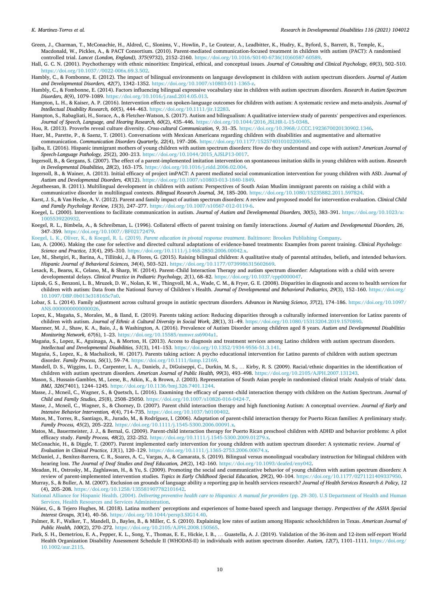- <span id="page-9-0"></span>Green, J., Charman, T., McConachie, H., Aldred, C., Slonims, V., Howlin, P., Le Couteur, A., Leadbitter, K., Hudry, K., Byford, S., Barrett, B., Temple, K., Macdonald, W., Pickles, A., & PACT Consortium. (2010). Parent-mediated communication-focused treatment in children with autism (PACT): A randomised controlled trial. *Lancet (London, England), 375*(9732), 2152–2160. [https://doi.org/10.1016/S0140-6736\(10\)60587-60589.](https://doi.org/10.1016/S0140-6736(10)60587-60589)
- Hall, G. C. N. (2001). Psychotherapy with ethnic minorities: Empirical, ethical, and conceptual issues. *Journal of Consulting and Clinical Psychology, 69*(3), 502–510. <https://doi.org/10.1037//0022-006x.69.3.502>.
- Hambly, C., & Fombonne, E. (2012). The impact of bilingual environments on language development in children with autism spectrum disorders. *Journal of Autism and Developmental Disorders, 42*(7), 1342–1352. <https://doi.org/10.1007/s10803-011-1365-z>.
- Hambly, C., & Fombonne, E. (2014). Factors influencing bilingual expressive vocabulary size in children with autism spectrum disorders. *Research in Autism Spectrum Disorders, 8*(9), 1079–1089.<https://doi.org/10.1016/j.rasd.2014.05.013>.
- Hampton, L. H., & Kaiser, A. P. (2016). Intervention effects on spoken-language outcomes for children with autism: A systematic review and meta-analysis. *Journal of Intellectual Disability Research, 60*(5), 444–463. [https://doi.org/10.1111/jir.12283.](https://doi.org/10.1111/jir.12283)
- Hampton, S., Rabagliati, H., Sorace, A., & Fletcher-Watson, S. (2017). Autism and bilingualism: A qualitative interview study of parents' perspectives and experiences. *Journal of Speech, Language, and Hearing Research, 60*(2), 435–446. [https://doi.org/10.1044/2016\\_JSLHR-L-15-0348.](https://doi.org/10.1044/2016_JSLHR-L-15-0348)
- Hou, R. (2013). Proverbs reveal culture diversity. *Cross-cultural Communication, 9*, 31–35. <https://doi.org/10.3968/J.CCC.1923670020130902.1346>.

Huer, M., Parette, P., & Saenz, T. (2001). Conversations with Mexican Americans regarding children with disabilities and augmentative and alternative

- communication. *Communication Disorders Quarterly, 22*(4), 197–206. [https://doi.org/10.1177/152574010102200405.](https://doi.org/10.1177/152574010102200405) Ijalba, E. (2016). Hispanic immigrant mothers of young children with autism spectrum disorders: How do they understand and cope with autism? *American Journal of Speech-Language Pathology, 25*(2), 200–213. [https://doi.org/10.1044/2015\\_AJSLP13-0017](https://doi.org/10.1044/2015_AJSLP13-0017).
- Ingersoll, B., & Gergans, S. (2007). The effect of a parent-implemented imitation intervention on spontaneous imitation skills in young children with autism. *Research in Developmental Disabilities, 28*(2), 163–175. <https://doi.org/10.1016/j.ridd.2006.02.004>.
- Ingersoll, B., & Wainer, A. (2013). Initial efficacy of project imPACT: A parent mediated social communication intervention for young children with ASD. *Journal of Autism and Developmental Disorders, 43*(12).<https://doi.org/10.1007/s10803-013-1840-1849>.
- Jegatheesan, B. (2011). Multilingual development in children with autism: Perspectives of South Asian Muslim immigrant parents on raising a child with a communicative disorder in multilingual contexts. *Bilingual Research Journal, 34*, 185–200. [https://doi.org/10.1080/15235882.2011.597824.](https://doi.org/10.1080/15235882.2011.597824)
- Karst, J. S., & Van Hecke, A. V. (2012). Parent and family impact of autism spectrum disorders: A review and proposed model for intervention evaluation. *Clinical Child and Family Psychology Review, 15*(3), 247–277. [https://doi.org/10.1007/s10567-012-0119-6.](https://doi.org/10.1007/s10567-012-0119-6)
- Koegel, L. (2000). Interventions to facilitate communication in autism. *Journal of Autism and Developmental Disorders, 30*(5), 383–391. [https://doi.org/10.1023/a:](https://doi.org/10.1023/a:1005539220932) [1005539220932.](https://doi.org/10.1023/a:1005539220932)
- Koegel, R. L., Bimbela, A., & Schreibman, L. (1996). Collateral effects of parent training on family interactions. *Journal of Autism and Developmental Disorders, 26*, 347–359. [https://doi.org/10.1007//BF02172479.](https://doi.org/10.1007//BF02172479)

[Koegel, L. K., Oliver, K., & Koegel, R. L. \(2019\).](http://refhub.elsevier.com/S0891-4222(21)00161-X/sbref0255) *Parent education in pivotal response treatment*. Baltimore: Brookes Publishing Company.

- Lau, A. (2006). Making the case for selective and directed cultural adaptations of evidence-based treatments: Examples from parent training. *Clinical Psychology: Science and Practice, 13*(4), 295–310. [https://doi.org/10.1111/j.1468-2850.2006.00042.x.](https://doi.org/10.1111/j.1468-2850.2006.00042.x)
- Lee, M., Shetgiri, R., Barina, A., Tillitski, J., & Flores, G. (2015). Raising bilingual children: A qualitative study of parental attitudes, beliefs, and intended behaviors. *Hispanic Journal of Behavioral Sciences, 34*(4), 503–521. [https://doi.org/10.1177/0739986315602669.](https://doi.org/10.1177/0739986315602669)
- Lesack, R., Bearss, K., Celano, M., & Sharp, W. (2014). Parent–Child Interaction Therapy and autism spectrum disorder: Adaptations with a child with severe developmental delays. *Clinical Practice in Pediatric Psychology, 2*(1), 68–82. [https://doi.org/10.1037/cpp0000047.](https://doi.org/10.1037/cpp0000047)
- Liptak, G. S., Benzoni, L. B., Mruzek, D. W., Nolan, K. W., Thingvoll, M. A., Wade, C. M., & Fryer, G. E. (2008). Disparities in diagnosis and access to health services for children with autism: Data from the National Survey of Children's Health. *Journal of Developmental and Behavioral Pediatrics, 29*(3), 152–160. [https://doi.org/](https://doi.org/10.1097/DBP.0b013e318165c7a0) [10.1097/DBP.0b013e318165c7a0](https://doi.org/10.1097/DBP.0b013e318165c7a0).
- Lobar, S. L. (2014). Family adjustment across cultural groups in autistic spectrum disorders. *Advances in Nursing Science, 37*(2), 174–186. [https://doi.org/10.1097/](https://doi.org/10.1097/ANS.0000000000000026) [ANS.0000000000000026](https://doi.org/10.1097/ANS.0000000000000026).
- Lopez, K., Magaña, S., Morales, M., & Iland, E. (2019). Parents taking action: Reducing disparities through a culturally informed intervention for Latinx parents of children with autism. *Journal of Ethnic & Cultural Diversity in Social Work, 28*(1), 31–49. <https://doi.org/10.1080/15313204.2019.1570890>.
- Maenner, M. J., Shaw, K. A., Baio, J., & Washington, A. (2016). Prevalence of Autism Disorder among children aged 8 years. *Autism and Developmental Disabilities Monitoring Network, 67*(6), 1–23. [https://doi.org/10.15585/mmwr.ss6904a1.](https://doi.org/10.15585/mmwr.ss6904a1)
- Magaña, S., Lopez, K., Aguinaga, A., & Morton, H. (2013). Access to diagnosis and treatment services among Latino children with autism spectrum disorders. *Intellectual and Developmental Disabilities, 51*(3), 141–153. [https://doi.org/10.1352/1934-9556-51.3.141.](https://doi.org/10.1352/1934-9556-51.3.141)
- Magaña, S., Lopez, K., & Machalicek, W. (2017). Parents taking action: A psycho educational intervention for Latino parents of children with autism spectrum disorder. *Family Process, 56*(1), 59–74. <https://doi.org/10.1111/famp.12169>.
- Mandell, D. S., Wiggins, L. D., Carpenter, L. A., Daniels, J., DiGuiseppi, C., Durkin, M. S., … Kirby, R. S. (2009). Racial/ethnic disparities in the identification of children with autism spectrum disorders. *American Journal of Public Health, 99*(3), 493–498. [https://doi.org/10.2105/AJPH.2007.131243.](https://doi.org/10.2105/AJPH.2007.131243)
- Mason, S., Hussain-Gambles, M., Leese, B., Atkin, K., & Brown, J. (2003). Representation of South Asian people in randomised clinical trials: Analysis of trials' data. *BMJ, 326*(7401), 1244–1245. <https://doi.org/10.1136/bmj.326.7401.1244>.
- Masse, J., Mcneil, C., Wagner, S., & Quetsch, L. (2016). Examining the efficacy of parent–child interaction therapy with children on the Autism Spectrum. *Journal of Child and Family Studies, 25*(8), 2508–25050. <https://doi.org/10.1007/s10826-016-0424-7>.
- Masse, J., Mcneil, C., Wagner, S., & Chorney, D. (2007). Parent child interaction therapy and high functioning Autism: A conceptual overview. *Journal of Early and Intensive Behavior Intervention, 4*(4), 714–735. [https://doi.org/10.1037/h0100402.](https://doi.org/10.1037/h0100402)
- Matos, M., Torres, R., Santiago, R., Jurado, M., & Rodríguez, I. (2006). Adaptation of parent-child interaction therapy for Puerto Rican families: A preliminary study. *Family Process, 45*(2), 205–222. [https://doi.org/10.1111/j.1545-5300.2006.00091.x.](https://doi.org/10.1111/j.1545-5300.2006.00091.x)
- Matos, M., Bauermeister, J. J., & Bernal, G. (2009). Parent-child interaction therapy for Puerto Rican preschool children with ADHD and behavior problems: A pilot efficacy study. *Family Process, 48*(2), 232–252. [https://doi.org/10.1111/j.1545-5300.2009.01279.x.](https://doi.org/10.1111/j.1545-5300.2009.01279.x)
- McConachie, H., & Diggle, T. (2007). Parent implemented early intervention for young children with autism spectrum disorder: A systematic review. *Journal of Evaluation in Clinical Practice, 13*(1), 120–129. <https://doi.org/10.1111/j.1365-2753.2006.00674.x>.
- McDaniel, J., Benítez-Barrera, C. R., Soares, A. C., Vargas, A., & Camarata, S. (2019). Bilingual versus monolingual vocabulary instruction for bilingual children with hearing loss. *The Journal of Deaf Studies and Deaf Education, 24*(2), 142–160. [https://doi.org/10.1093/deafed/eny042.](https://doi.org/10.1093/deafed/eny042)
- Meadan, H., Ostrosky, M., Zaghlawan, H., & Yu, S. (2009). Promoting the social and communicative behavior of young children with autism spectrum disorders: A review of parent-implemented intervention studies. *Topics in Early Childhood Special Education, 29*(2), 90–104. <https://doi.org/10.1177/0271121409337950>.
- Murray, S., & Buller, A. M. (2007). Exclusion on grounds of language ability a reporting gap in health services research? *Journal of Health Services Research & Policy, 12*  (4), 205–208. <https://doi.org/10.1258/135581907782101642>.
- National Alliance for Hispanic Health. (2004). *[Delivering preventive health care to Hispanics: A manual for providers](http://refhub.elsevier.com/S0891-4222(21)00161-X/sbref0355)* (pp. 29–30). U.S Department of Health and Human [Services, Health Resources and Services Administration.](http://refhub.elsevier.com/S0891-4222(21)00161-X/sbref0355)
- Núnez, ˜ G., & Tejero Hughes, M. (2018). Latina mothers' perceptions and experiences of home-based speech and language therapy. *Perspectives of the ASHA Special Interest Groups, 3*(14), 40–56. [https://doi.org/10.1044/persp3.SIG14.40.](https://doi.org/10.1044/persp3.SIG14.40)
- Palmer, R. F., Walker, T., Mandell, D., Bayles, B., & Miller, C. S. (2010). Explaining low rates of autism among Hispanic schoolchildren in Texas. *American Journal of Public Health, 100*(2), 270–272. [https://doi.org/10.2105/AJPH.2008.150565.](https://doi.org/10.2105/AJPH.2008.150565)
- Park, S. H., Demetriou, E. A., Pepper, K. L., Song, Y., Thomas, E. E., Hickie, I. B., … Guastella, A. J. (2019). Validation of the 36-item and 12-item self-report World Health Organization Disability Assessment Schedule II (WHODAS-II) in individuals with autism spectrum disorder. *Autism, 12*(7), 1101–1111. [https://doi.org/](https://doi.org/10.1002/aur.2115) [10.1002/aur.2115.](https://doi.org/10.1002/aur.2115)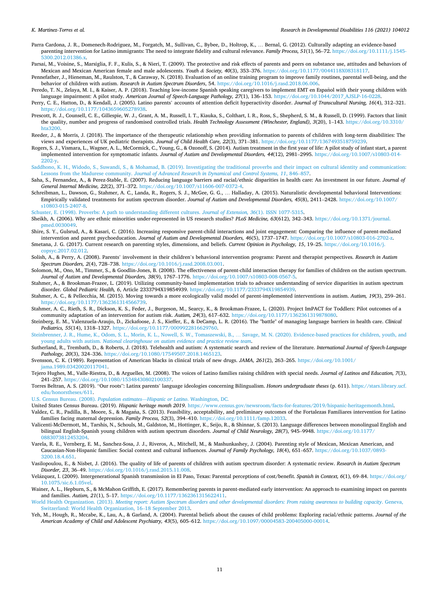- <span id="page-10-0"></span>Parra Cardona, J. R., Domenech-Rodriguez, M., Forgatch, M., Sullivan, C., Bybee, D., Holtrop, K., … Bernal, G. (2012). Culturally adapting an evidence-based parenting intervention for Latino immigrants: The need to integrate fidelity and cultural relevance. *Family Process, 51*(1), 56–72. [https://doi.org/10.1111/j.1545-](https://doi.org/10.1111/j.1545-5300.2012.01386.x) [5300.2012.01386.x](https://doi.org/10.1111/j.1545-5300.2012.01386.x).
- Parsai, M., Voisine, S., Marsiglia, F. F., Kulis, S., & Nieri, T. (2009). The protective and risk effects of parents and peers on substance use, attitudes and behaviors of Mexican and Mexican American female and male adolescents. *Youth & Society, 40*(3), 353–376. [https://doi.org/10.1177/0044118X08318117.](https://doi.org/10.1177/0044118X08318117)
- Pennefather, J., Hieneman, M., Raulston, T., & Caraway, N. (2018). Evaluation of an online training program to improve family routines, parental well-being, and the behavior of children with autism. *Research in Autism Spectrum Disorders*, 54. <https://doi.org/10.1016/j.rasd.2018.06.006>.
- Peredo, T. N., Zelaya, M. I., & Kaiser, A. P. (2018). Teaching low-income Spanish speaking caregivers to implement EMT en Español with their young children with language impairment: A pilot study. American Journal of Speech-Language Pathology, 27(1), 136-153. https://doi.org/10.1044/2017 AJSLP-16-0228.
- Perry, C. E., Hatton, D., & Kendall, J. (2005). Latino parents' accounts of attention deficit hyperactivity disorder. *Journal of Transcultural Nursing, 16*(4), 312–321. <https://doi.org/10.1177/1043659605278938>.
- Prescott, R. J., Counsell, C. E., Gillespie, W. J., Grant, A. M., Russell, I. T., Kiauka, S., Colthart, I. R., Ross, S., Shepherd, S. M., & Russell, D. (1999). Factors that limit the quality, number and progress of randomised controlled trials. *Health Technology Assessment (Winchester, England), 3*(20), 1–143. [https://doi.org/10.3310/](https://doi.org/10.3310/hta3200)  [hta3200](https://doi.org/10.3310/hta3200).
- Reeder, J., & Morris, J. (2018). The importance of the therapeutic relationship when providing information to parents of children with long-term disabilities: The views and experiences of UK pediatric therapists. *Journal of Child Health Care, 22*(3), 371–381. [https://doi.org/10.1177/1367493518759239.](https://doi.org/10.1177/1367493518759239)
- Rogers, S. J., Vismara, L., Wagner, A. L., McCormick, C., Young, G., & Ozonoff, S. (2014). Autism treatment in the first year of life: A pilot study of infant start, a parent implemented intervention for symptomatic infants. *Journal of Autism and Developmental Disorders, 44*(12), 2981–2995. [https://doi.org/10.1007/s10803-014-](https://doi.org/10.1007/s10803-014-2202-y)  [2202-y.](https://doi.org/10.1007/s10803-014-2202-y)
- [Saddhono, K. H., Widodo, S., Suwandi, S., & Mohamad, B. \(2019\). Investigating the traditional proverbs and their impact on cultural identity and communication:](http://refhub.elsevier.com/S0891-4222(21)00161-X/sbref0415) Lessons from the Madurese community. *[Journal of Advanced Research in Dynamical and Control Systems, 11](http://refhub.elsevier.com/S0891-4222(21)00161-X/sbref0415)*, 846–857.
- Saha, S., Fernandez, A., & Perez-Stable, E. (2007). Reducing language barriers and racial/ethnic disparities in health care: An investment in our future. *Journal of General Internal Medicine, 22*(2), 371–372. [https://doi.org/10.1007/s11606-007-0372-4.](https://doi.org/10.1007/s11606-007-0372-4)
- Schreibman, L., Dawson, G., Stahmer, A. C., Landa, R., Rogers, S. J., McGee, G. G., … Halladay, A. (2015). Naturalistic developmental behavioral Interventions: Empirically validated treatments for autism spectrum disorder. *Journal of Autism and Developmental Disorders, 45*(8), 2411–2428. [https://doi.org/10.1007/](https://doi.org/10.1007/s10803-015-2407-8)  [s10803-015-2407-8](https://doi.org/10.1007/s10803-015-2407-8).

[Schuster, E. \(1998\). Proverbs: A path to understanding different cultures.](http://refhub.elsevier.com/S0891-4222(21)00161-X/sbref0430) *Journal of Extension, 36*(1). ISSN 1077-5315.

- Sheikh, A. (2006). Why are ethnic minorities under-represented in US research studies? *PLoS Medicine, 63*(612), 342–343. [https://doi.org/10.1371/journal.](https://doi.org/10.1371/journal.pmed.0030049)  [pmed.0030049.](https://doi.org/10.1371/journal.pmed.0030049)
- Shire, S. Y., Gulsrud, A., & Kasari, C. (2016). Increasing responsive parent-child interactions and joint engagement: Comparing the influence of parent-mediated intervention and parent psychoeducation. *Journal of Autism and Developmental Disorders, 46*(5), 1737–1747. [https://doi.org/10.1007/s10803-016-2702-z.](https://doi.org/10.1007/s10803-016-2702-z)
- Smetana, J. G. (2017). Current research on parenting styles, dimensions, and beliefs. *Current Opinion in Psychology, 15*, 19–25. [https://doi.org/10.1016/j.](https://doi.org/10.1016/j.copsyc.2017.02.012) [copsyc.2017.02.012](https://doi.org/10.1016/j.copsyc.2017.02.012).
- Solish, A., & Perry, A. (2008). Parents' involvement in their children's behavioral intervention programs: Parent and therapist perspectives. *Research in Autism Spectrum Disorders, 2*(4), 728–738. [https://doi.org/10.1016/j.rasd.2008.03.001.](https://doi.org/10.1016/j.rasd.2008.03.001)
- Solomon, M., Ono, M., Timmer, S., & Goodlin-Jones, B. (2008). The effectiveness of parent-child interaction therapy for families of children on the autism spectrum. *Journal of Autism and Developmental Disorders, 38*(9), 1767–1776. [https://doi.org/10.1007/s10803-008-0567-5.](https://doi.org/10.1007/s10803-008-0567-5)
- Stahmer, A., & Brookman-Frazee, L. (2019). Utilizing community-based implementation trials to advance understanding of service disparities in autism spectrum disorder. *Global Pediatric Health, 6*, Article 2333794X19854939. [https://doi.org/10.1177/2333794X19854939.](https://doi.org/10.1177/2333794X19854939)
- Stahmer, A. C., & Pellecchia, M. (2015). Moving towards a more ecologically valid model of parent-implemented interventions in autism. *Autism, 19*(3), 259–261. <https://doi.org/10.1177/1362361314566739>.
- Stahmer, A. C., Rieth, S. R., Dickson, K. S., Feder, J., Burgeson, M., Searcy, K., & Brookman-Frazee, L. (2020). Project ImPACT for Toddlers: Pilot outcomes of a community adaptation of an intervention for autism risk. *Autism, 24*(3), 617–632. <https://doi.org/10.1177/1362361319878080>.
- Steinberg, E. M., Valenzuela-Araujo, D., Zickafoose, J. S., Kieffer, E., & DeCamp, L. R. (2016). The "battle" of managing language barriers in health care. *Clinical Pediatrics, 55*(14), 1318–1327. [https://doi.org/10.1177/0009922816629760.](https://doi.org/10.1177/0009922816629760)
- [Steinbrenner, J. R., Hume, K., Odom, S. L., Morin, K. L., Nowell, S. W., Tomaszewski, B.,](http://refhub.elsevier.com/S0891-4222(21)00161-X/sbref0480) … Savage, M. N. (2020). Evidence-based practices for children, youth, and young adults with autism. *[National clearinghouse on autism evidence and practice review team](http://refhub.elsevier.com/S0891-4222(21)00161-X/sbref0480)*.
- Sutherland, R., Trembath, D., & Roberts, J. (2018). Telehealth and autism: A systematic search and review of the literature. *International Journal of Speech-Language Pathology, 20*(3), 324–336. [https://doi.org/10.1080/17549507.2018.1465123.](https://doi.org/10.1080/17549507.2018.1465123)

Svensson, C. K. (1989). Representation of American blacks in clinical trials of new drugs. *JAMA, 261*(2), 263–265. [https://doi.org/10.1001/](https://doi.org/10.1001/jama.1989.03420020117041)  [jama.1989.03420020117041.](https://doi.org/10.1001/jama.1989.03420020117041)

- Tejero Hughes, M., Valle-Riestra, D., & Arguelles, M. (2008). The voices of Latino families raising children with special needs. *Journal of Latinos and Education, 7*(3), 241–257. <https://doi.org/10.1080/15348430802100337>.
- Torres Beltran, A. S. (2019). "Our roots": Latinx parents' language ideologies concerning Bilingualism. *Honors undergraduate theses* (p. 611). [https://stars.library.ucf.](https://stars.library.ucf.edu/honorstheses/611) [edu/honorstheses/611.](https://stars.library.ucf.edu/honorstheses/611)

[U.S. Census Bureau. \(2008\).](http://refhub.elsevier.com/S0891-4222(21)00161-X/sbref0505) *Population estimates*—*Hispanic or Latino*. Washington, DC.

- United States Census Bureau. (2019). *Hispanic heritage month 2019*. <https://www.census.gov/newsroom/facts-for-features/2019/hispanic-heritagemonth.html>.
- Valdez, C. R., Padilla, B., Moore, S., & Magaña, S. (2013). Feasibility, acceptability, and preliminary outcomes of the Fortalezas Familiares intervention for Latino families facing maternal depression. *Family Process, 52*(3), 394–410.<https://doi.org/10.1111/famp.12033>.
- Valicenti-McDermott, M., Tarshis, N., Schouls, M., Galdston, M., Hottinger, K., Seijo, R., & Shinnar, S. (2013). Language differences between monolingual English and bilingual English-Spanish young children with autism spectrum disorders. *Journal of Child Neurology, 28*(7), 945-9948. https://doi.org/10.117 [0883073812453204](https://doi.org/10.1177/0883073812453204).
- Varela, R. E., Vernberg, E. M., Sanchez-Sosa, J. J., Riveros, A., Mitchell, M., & Mashunkashey, J. (2004). Parenting style of Mexican, Mexican American, and Caucasian-Non-Hispanic families: Social context and cultural influences. *Journal of Family Psychology, 18*(4), 651–657. [https://doi.org/10.1037/0893-](https://doi.org/10.1037/0893-3200.18.4.651) [3200.18.4.651](https://doi.org/10.1037/0893-3200.18.4.651).
- Vasilopoulou, E., & Nisbet, J. (2016). The quality of life of parents of children with autism spectrum disorder: A systematic review. *Research in Autism Spectrum Disorder, 23*, 36–49. [https://doi.org/10.1016/j.rasd.2015.11.008.](https://doi.org/10.1016/j.rasd.2015.11.008)
- Velázquez, I. (2009). Intergenerational Spanish transmission in El Paso, Texas: Parental perceptions of cost/benefit. Spanish in Context, 6(1), 69-84. [https://doi.org/](https://doi.org/10.1075/sic.6.1.05vel) [10.1075/sic.6.1.05vel.](https://doi.org/10.1075/sic.6.1.05vel)
- Wainer, A. L., Hepburn, S., & McMahon Griffith, E. (2017). Remembering parents in parent-mediated early intervention: An approach to examining impact on parents and families. *Autism, 21*(1), 5–17. [https://doi.org/10.1177/1362361315622411.](https://doi.org/10.1177/1362361315622411)
- World Health Organization. (2013). *[Meeting report: Autism Spectrum disorders and other developmental disorders: From raising awareness to building capacity](http://refhub.elsevier.com/S0891-4222(21)00161-X/sbref0545)*. Geneva, [Switzerland: World Health Organization, 16](http://refhub.elsevier.com/S0891-4222(21)00161-X/sbref0545)–18 September 2013.
- Yeh, M., Hough, R., Mccabe, K., Lau, A., & Garland, A. (2004). Parental beliefs about the causes of child problems: Exploring racial/ethnic patterns. *Journal of the American Academy of Child and Adolescent Psychiatry, 43*(5), 605–612.<https://doi.org/10.1097/00004583-200405000-00014>.